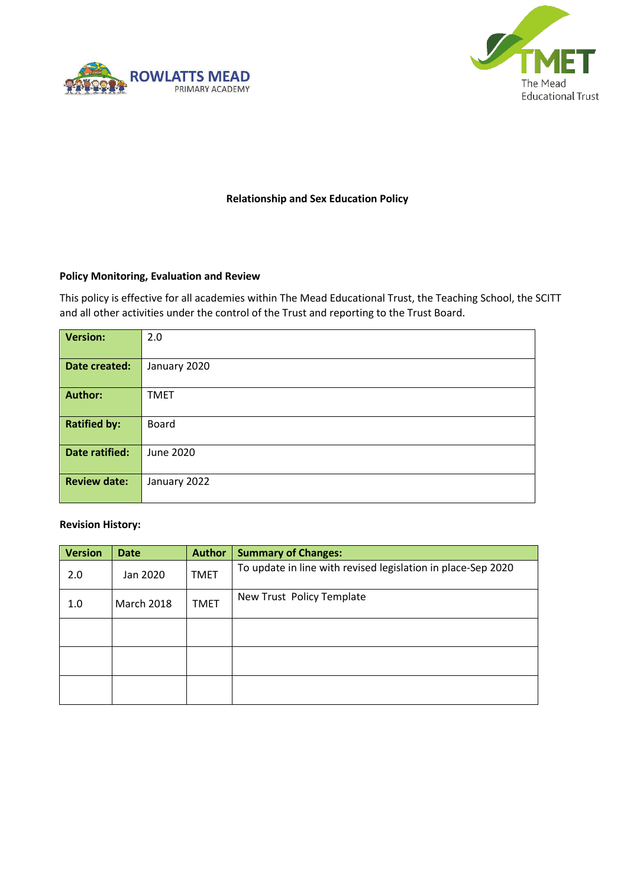



## **Relationship and Sex Education Policy**

#### **Policy Monitoring, Evaluation and Review**

This policy is effective for all academies within The Mead Educational Trust, the Teaching School, the SCITT and all other activities under the control of the Trust and reporting to the Trust Board.

| <b>Version:</b>     | 2.0          |
|---------------------|--------------|
| Date created:       | January 2020 |
| <b>Author:</b>      | <b>TMET</b>  |
| <b>Ratified by:</b> | Board        |
| Date ratified:      | June 2020    |
| <b>Review date:</b> | January 2022 |

#### **Revision History:**

| <b>Version</b> | <b>Date</b>       | <b>Author</b> | <b>Summary of Changes:</b>                                   |  |
|----------------|-------------------|---------------|--------------------------------------------------------------|--|
| 2.0            | Jan 2020          | <b>TMET</b>   | To update in line with revised legislation in place-Sep 2020 |  |
| 1.0            | <b>March 2018</b> | <b>TMET</b>   | New Trust Policy Template                                    |  |
|                |                   |               |                                                              |  |
|                |                   |               |                                                              |  |
|                |                   |               |                                                              |  |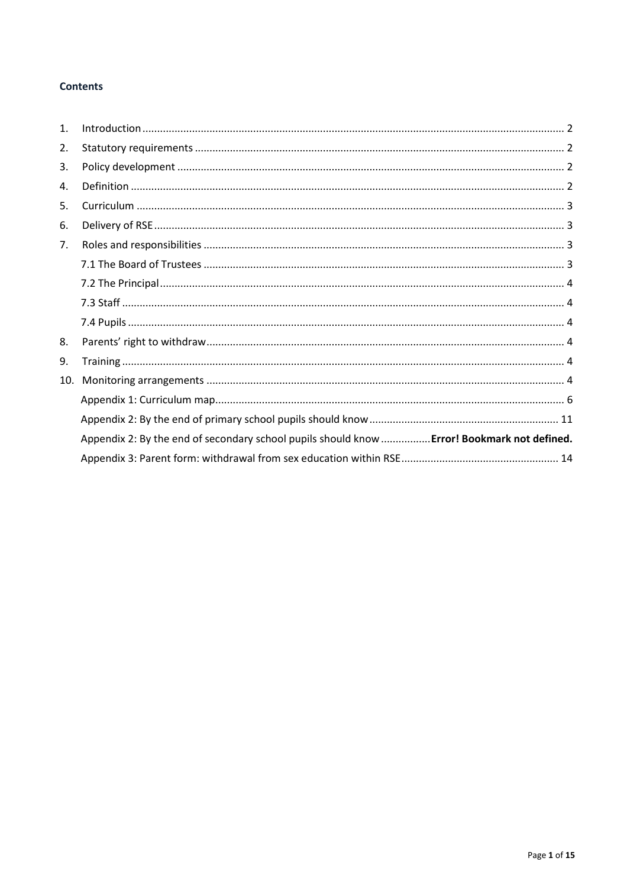## **Contents**

| $\mathbf{1}$ . |                                                                                             |
|----------------|---------------------------------------------------------------------------------------------|
| 2.             |                                                                                             |
| 3.             |                                                                                             |
| 4.             |                                                                                             |
| 5.             |                                                                                             |
| 6.             |                                                                                             |
| 7.             |                                                                                             |
|                |                                                                                             |
|                |                                                                                             |
|                |                                                                                             |
|                |                                                                                             |
| 8.             |                                                                                             |
| 9.             |                                                                                             |
| 10.            |                                                                                             |
|                |                                                                                             |
|                |                                                                                             |
|                | Appendix 2: By the end of secondary school pupils should know  Error! Bookmark not defined. |
|                |                                                                                             |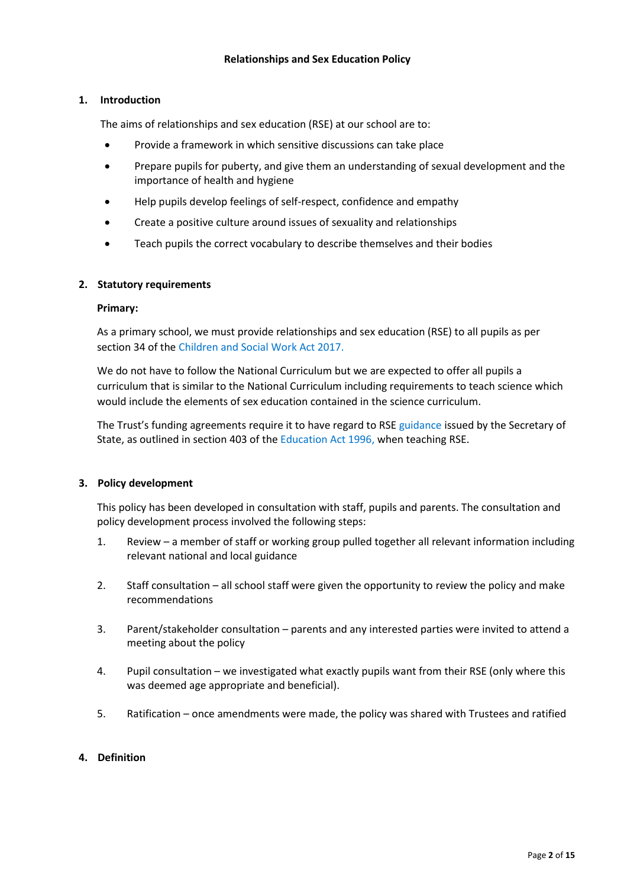### <span id="page-2-0"></span>**1. Introduction**

The aims of relationships and sex education (RSE) at our school are to:

- Provide a framework in which sensitive discussions can take place
- Prepare pupils for puberty, and give them an understanding of sexual development and the importance of health and hygiene
- Help pupils develop feelings of self-respect, confidence and empathy
- Create a positive culture around issues of sexuality and relationships
- Teach pupils the correct vocabulary to describe themselves and their bodies

#### <span id="page-2-1"></span>**2. Statutory requirements**

#### **Primary:**

As a primary school, we must provide relationships and sex education (RSE) to all pupils as per section 34 of the [Children and Social Work Act 2017.](http://www.legislation.gov.uk/ukpga/2017/16/section/34/enacted)

We do not have to follow the National Curriculum but we are expected to offer all pupils a curriculum that is similar to the National Curriculum including requirements to teach science which would include the elements of sex education contained in the science curriculum.

The Trust's funding agreements require it to have regard to RS[E guidance](https://www.gov.uk/government/consultations/relationships-and-sex-education-and-health-education) issued by the Secretary of State, as outlined in section 403 of the [Education Act 1996, when teaching RSE.](http://www.legislation.gov.uk/ukpga/1996/56/contents)

#### <span id="page-2-2"></span>**3. Policy development**

This policy has been developed in consultation with staff, pupils and parents. The consultation and policy development process involved the following steps:

- 1. Review a member of staff or working group pulled together all relevant information including relevant national and local guidance
- 2. Staff consultation all school staff were given the opportunity to review the policy and make recommendations
- 3. Parent/stakeholder consultation parents and any interested parties were invited to attend a meeting about the policy
- 4. Pupil consultation we investigated what exactly pupils want from their RSE (only where this was deemed age appropriate and beneficial).
- 5. Ratification once amendments were made, the policy was shared with Trustees and ratified

#### <span id="page-2-3"></span>**4. Definition**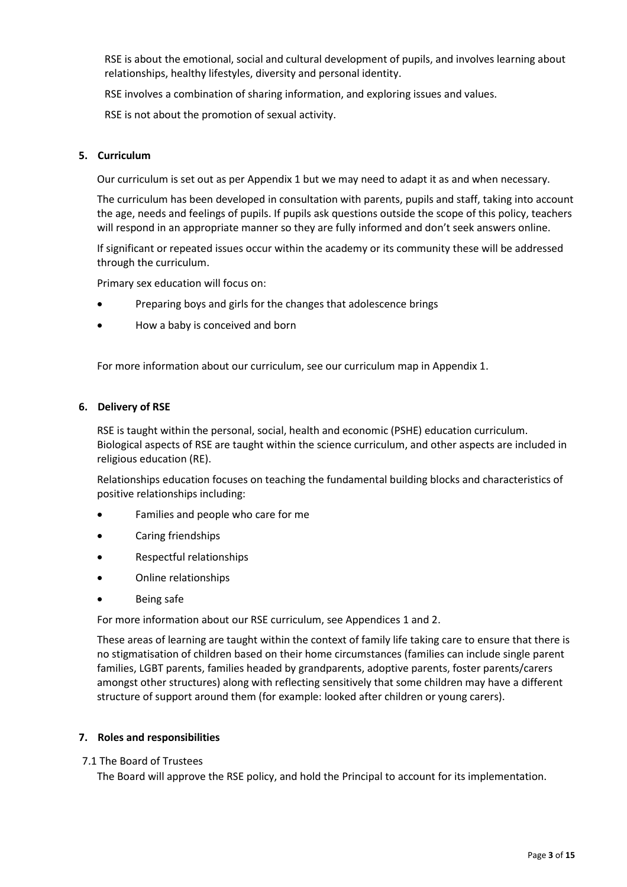RSE is about the emotional, social and cultural development of pupils, and involves learning about relationships, healthy lifestyles, diversity and personal identity.

RSE involves a combination of sharing information, and exploring issues and values.

RSE is not about the promotion of sexual activity.

#### <span id="page-3-0"></span>**5. Curriculum**

Our curriculum is set out as per Appendix 1 but we may need to adapt it as and when necessary.

The curriculum has been developed in consultation with parents, pupils and staff, taking into account the age, needs and feelings of pupils. If pupils ask questions outside the scope of this policy, teachers will respond in an appropriate manner so they are fully informed and don't seek answers online.

If significant or repeated issues occur within the academy or its community these will be addressed through the curriculum.

Primary sex education will focus on:

- Preparing boys and girls for the changes that adolescence brings
- How a baby is conceived and born

For more information about our curriculum, see our curriculum map in Appendix 1.

#### <span id="page-3-1"></span>**6. Delivery of RSE**

RSE is taught within the personal, social, health and economic (PSHE) education curriculum. Biological aspects of RSE are taught within the science curriculum, and other aspects are included in religious education (RE).

Relationships education focuses on teaching the fundamental building blocks and characteristics of positive relationships including:

- Families and people who care for me
- Caring friendships
- Respectful relationships
- Online relationships
- Being safe

For more information about our RSE curriculum, see Appendices 1 and 2.

These areas of learning are taught within the context of family life taking care to ensure that there is no stigmatisation of children based on their home circumstances (families can include single parent families, LGBT parents, families headed by grandparents, adoptive parents, foster parents/carers amongst other structures) along with reflecting sensitively that some children may have a different structure of support around them (for example: looked after children or young carers).

#### <span id="page-3-2"></span>**7. Roles and responsibilities**

<span id="page-3-3"></span>7.1 The Board of Trustees

The Board will approve the RSE policy, and hold the Principal to account for its implementation.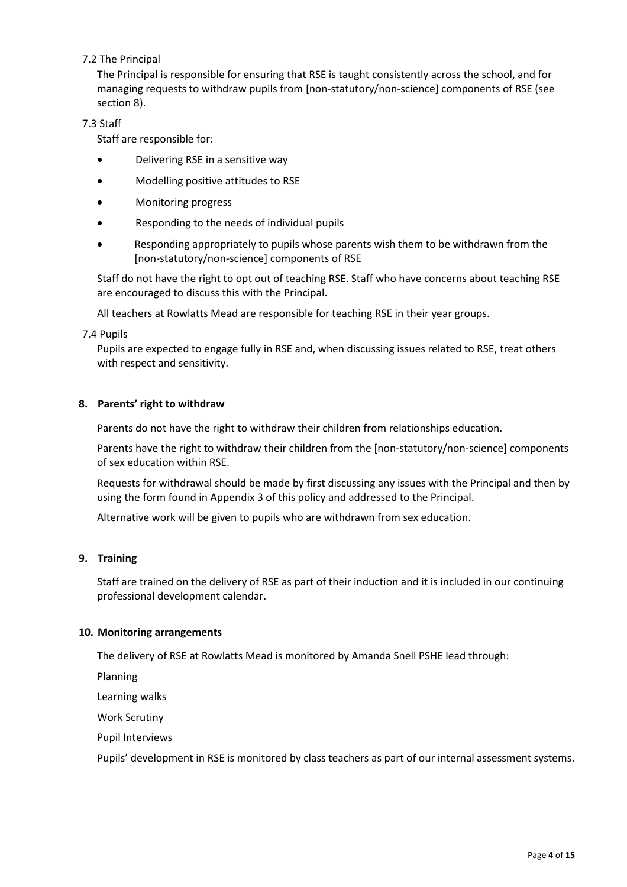## <span id="page-4-0"></span>7.2 The Principal

The Principal is responsible for ensuring that RSE is taught consistently across the school, and for managing requests to withdraw pupils from [non-statutory/non-science] components of RSE (see section 8).

#### <span id="page-4-1"></span>7.3 Staff

Staff are responsible for:

- Delivering RSE in a sensitive way
- Modelling positive attitudes to RSE
- Monitoring progress
- Responding to the needs of individual pupils
- Responding appropriately to pupils whose parents wish them to be withdrawn from the [non-statutory/non-science] components of RSE

Staff do not have the right to opt out of teaching RSE. Staff who have concerns about teaching RSE are encouraged to discuss this with the Principal.

All teachers at Rowlatts Mead are responsible for teaching RSE in their year groups.

#### <span id="page-4-2"></span>7.4 Pupils

Pupils are expected to engage fully in RSE and, when discussing issues related to RSE, treat others with respect and sensitivity.

#### <span id="page-4-3"></span>**8. Parents' right to withdraw**

Parents do not have the right to withdraw their children from relationships education.

Parents have the right to withdraw their children from the [non-statutory/non-science] components of sex education within RSE.

Requests for withdrawal should be made by first discussing any issues with the Principal and then by using the form found in Appendix 3 of this policy and addressed to the Principal.

Alternative work will be given to pupils who are withdrawn from sex education.

#### <span id="page-4-4"></span>**9. Training**

Staff are trained on the delivery of RSE as part of their induction and it is included in our continuing professional development calendar.

#### <span id="page-4-5"></span>**10. Monitoring arrangements**

The delivery of RSE at Rowlatts Mead is monitored by Amanda Snell PSHE lead through:

Planning

Learning walks

Work Scrutiny

Pupil Interviews

Pupils' development in RSE is monitored by class teachers as part of our internal assessment systems.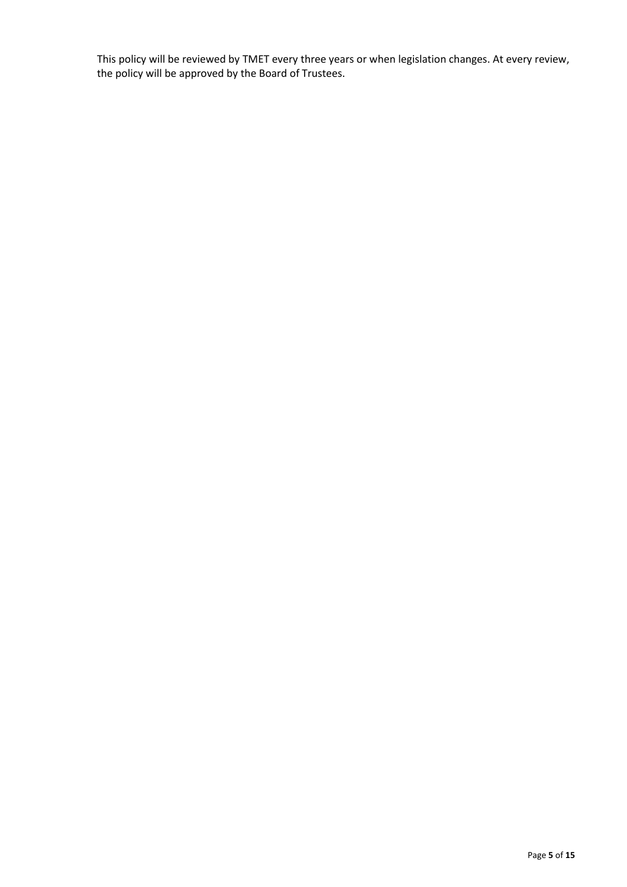This policy will be reviewed by TMET every three years or when legislation changes. At every review, the policy will be approved by the Board of Trustees.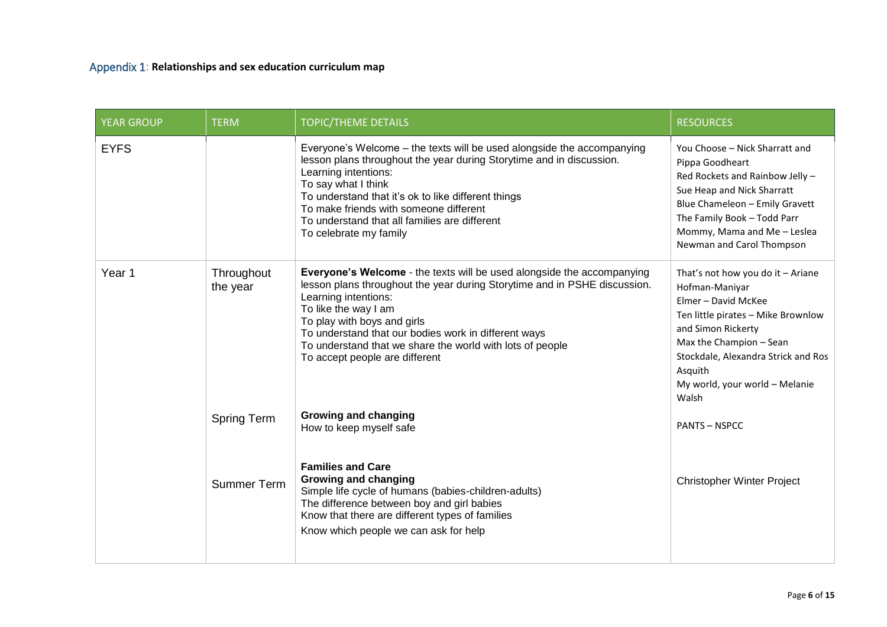<span id="page-6-0"></span>

| <b>YEAR GROUP</b> | <b>TERM</b>            | <b>TOPIC/THEME DETAILS</b>                                                                                                                                                                                                                                                                                                                                                                | <b>RESOURCES</b>                                                                                                                                                                                                                                               |
|-------------------|------------------------|-------------------------------------------------------------------------------------------------------------------------------------------------------------------------------------------------------------------------------------------------------------------------------------------------------------------------------------------------------------------------------------------|----------------------------------------------------------------------------------------------------------------------------------------------------------------------------------------------------------------------------------------------------------------|
| <b>EYFS</b>       |                        | Everyone's Welcome - the texts will be used alongside the accompanying<br>lesson plans throughout the year during Storytime and in discussion.<br>Learning intentions:<br>To say what I think<br>To understand that it's ok to like different things<br>To make friends with someone different<br>To understand that all families are different<br>To celebrate my family                 | You Choose - Nick Sharratt and<br>Pippa Goodheart<br>Red Rockets and Rainbow Jelly -<br>Sue Heap and Nick Sharratt<br>Blue Chameleon - Emily Gravett<br>The Family Book - Todd Parr<br>Mommy, Mama and Me - Leslea<br>Newman and Carol Thompson                |
| Year <sub>1</sub> | Throughout<br>the year | Everyone's Welcome - the texts will be used alongside the accompanying<br>lesson plans throughout the year during Storytime and in PSHE discussion.<br>Learning intentions:<br>To like the way I am<br>To play with boys and girls<br>To understand that our bodies work in different ways<br>To understand that we share the world with lots of people<br>To accept people are different | That's not how you do it - Ariane<br>Hofman-Maniyar<br>Elmer - David McKee<br>Ten little pirates - Mike Brownlow<br>and Simon Rickerty<br>Max the Champion - Sean<br>Stockdale, Alexandra Strick and Ros<br>Asquith<br>My world, your world - Melanie<br>Walsh |
|                   | <b>Spring Term</b>     | <b>Growing and changing</b><br>How to keep myself safe<br><b>Families and Care</b>                                                                                                                                                                                                                                                                                                        | <b>PANTS - NSPCC</b>                                                                                                                                                                                                                                           |
|                   | <b>Summer Term</b>     | <b>Growing and changing</b><br>Simple life cycle of humans (babies-children-adults)<br>The difference between boy and girl babies<br>Know that there are different types of families<br>Know which people we can ask for help                                                                                                                                                             | <b>Christopher Winter Project</b>                                                                                                                                                                                                                              |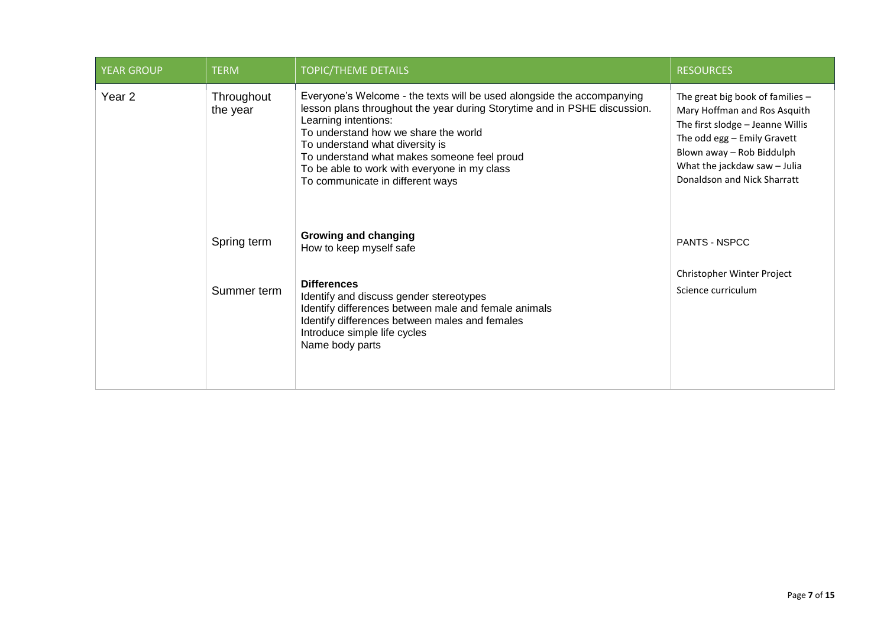| <b>YEAR GROUP</b> | <b>TERM</b>            | <b>TOPIC/THEME DETAILS</b>                                                                                                                                                                                                                                                                                                                                                                | <b>RESOURCES</b>                                                                                                                                                                                                                |
|-------------------|------------------------|-------------------------------------------------------------------------------------------------------------------------------------------------------------------------------------------------------------------------------------------------------------------------------------------------------------------------------------------------------------------------------------------|---------------------------------------------------------------------------------------------------------------------------------------------------------------------------------------------------------------------------------|
| Year <sub>2</sub> | Throughout<br>the year | Everyone's Welcome - the texts will be used alongside the accompanying<br>lesson plans throughout the year during Storytime and in PSHE discussion.<br>Learning intentions:<br>To understand how we share the world<br>To understand what diversity is<br>To understand what makes someone feel proud<br>To be able to work with everyone in my class<br>To communicate in different ways | The great big book of families -<br>Mary Hoffman and Ros Asquith<br>The first slodge - Jeanne Willis<br>The odd egg - Emily Gravett<br>Blown away - Rob Biddulph<br>What the jackdaw saw - Julia<br>Donaldson and Nick Sharratt |
|                   | Spring term            | Growing and changing<br>How to keep myself safe                                                                                                                                                                                                                                                                                                                                           | <b>PANTS - NSPCC</b>                                                                                                                                                                                                            |
|                   | Summer term            | <b>Differences</b><br>Identify and discuss gender stereotypes<br>Identify differences between male and female animals<br>Identify differences between males and females<br>Introduce simple life cycles<br>Name body parts                                                                                                                                                                | Christopher Winter Project<br>Science curriculum                                                                                                                                                                                |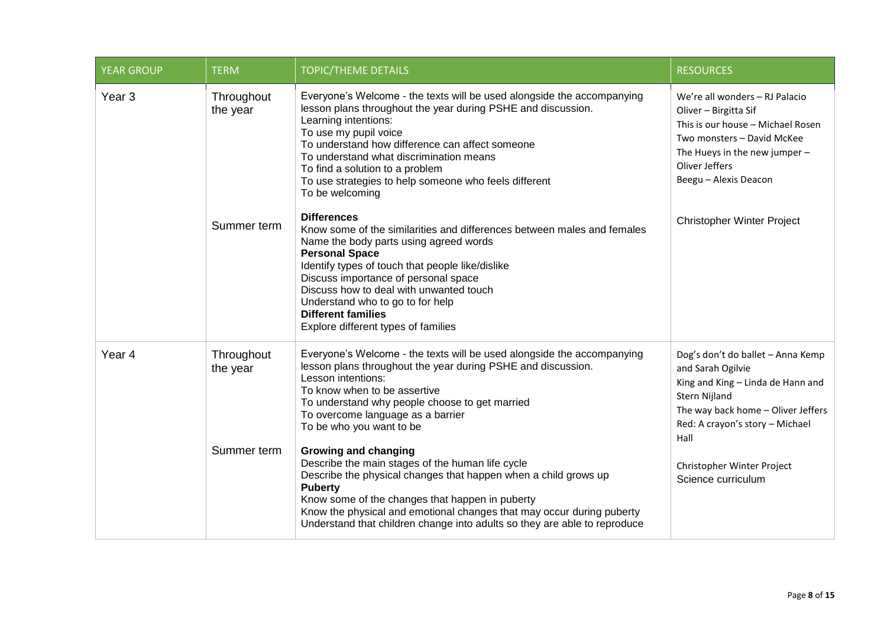| <b>YEAR GROUP</b> | <b>TERM</b>            | <b>TOPIC/THEME DETAILS</b>                                                                                                                                                                                                                                                                                                                                                                                      | <b>RESOURCES</b>                                                                                                                                                                                         |
|-------------------|------------------------|-----------------------------------------------------------------------------------------------------------------------------------------------------------------------------------------------------------------------------------------------------------------------------------------------------------------------------------------------------------------------------------------------------------------|----------------------------------------------------------------------------------------------------------------------------------------------------------------------------------------------------------|
| Year <sub>3</sub> | Throughout<br>the year | Everyone's Welcome - the texts will be used alongside the accompanying<br>lesson plans throughout the year during PSHE and discussion.<br>Learning intentions:<br>To use my pupil voice<br>To understand how difference can affect someone<br>To understand what discrimination means<br>To find a solution to a problem<br>To use strategies to help someone who feels different<br>To be welcoming            | We're all wonders - RJ Palacio<br>Oliver - Birgitta Sif<br>This is our house - Michael Rosen<br>Two monsters - David McKee<br>The Hueys in the new jumper $-$<br>Oliver Jeffers<br>Beegu - Alexis Deacon |
|                   | Summer term            | <b>Differences</b><br>Know some of the similarities and differences between males and females<br>Name the body parts using agreed words<br><b>Personal Space</b><br>Identify types of touch that people like/dislike<br>Discuss importance of personal space<br>Discuss how to deal with unwanted touch<br>Understand who to go to for help<br><b>Different families</b><br>Explore different types of families | <b>Christopher Winter Project</b>                                                                                                                                                                        |
| Year <sub>4</sub> | Throughout<br>the year | Everyone's Welcome - the texts will be used alongside the accompanying<br>lesson plans throughout the year during PSHE and discussion.<br>Lesson intentions:<br>To know when to be assertive<br>To understand why people choose to get married<br>To overcome language as a barrier<br>To be who you want to be                                                                                                 | Dog's don't do ballet - Anna Kemp<br>and Sarah Ogilvie<br>King and King - Linda de Hann and<br>Stern Nijland<br>The way back home - Oliver Jeffers<br>Red: A crayon's story - Michael<br>Hall            |
|                   | Summer term            | <b>Growing and changing</b><br>Describe the main stages of the human life cycle<br>Describe the physical changes that happen when a child grows up<br><b>Puberty</b><br>Know some of the changes that happen in puberty<br>Know the physical and emotional changes that may occur during puberty<br>Understand that children change into adults so they are able to reproduce                                   | Christopher Winter Project<br>Science curriculum                                                                                                                                                         |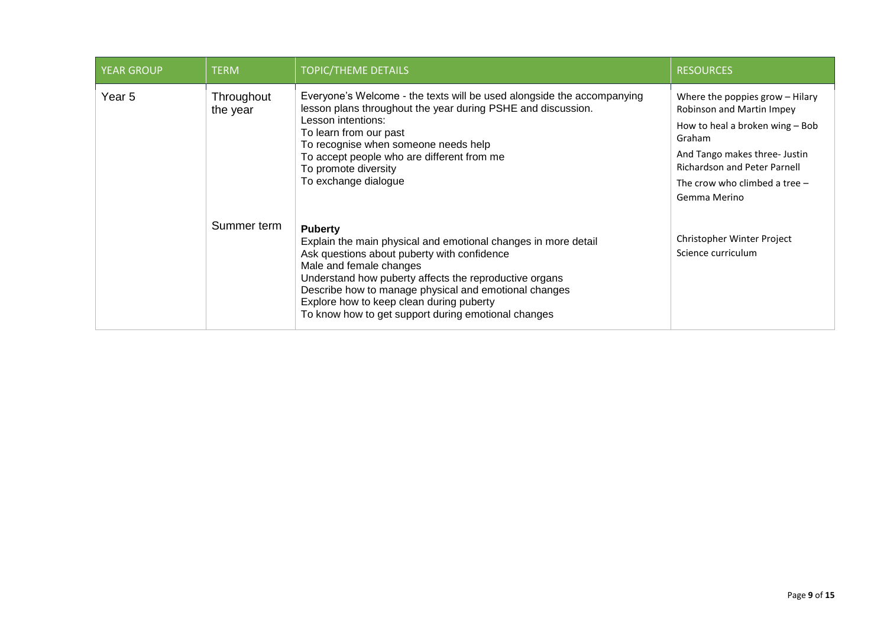| <b>YEAR GROUP</b> | <b>TERM</b>                                                                                                                                                                                                                                                                                                                                                                                     | <b>TOPIC/THEME DETAILS</b>                                                                                                                                                                                                                                                                                                   | <b>RESOURCES</b>                                                                                                                                                                                                                     |
|-------------------|-------------------------------------------------------------------------------------------------------------------------------------------------------------------------------------------------------------------------------------------------------------------------------------------------------------------------------------------------------------------------------------------------|------------------------------------------------------------------------------------------------------------------------------------------------------------------------------------------------------------------------------------------------------------------------------------------------------------------------------|--------------------------------------------------------------------------------------------------------------------------------------------------------------------------------------------------------------------------------------|
| Year 5            | Throughout<br>the year                                                                                                                                                                                                                                                                                                                                                                          | Everyone's Welcome - the texts will be used alongside the accompanying<br>lesson plans throughout the year during PSHE and discussion.<br>Lesson intentions:<br>To learn from our past<br>To recognise when someone needs help<br>To accept people who are different from me<br>To promote diversity<br>To exchange dialogue | Where the poppies grow - Hilary<br>Robinson and Martin Impey<br>How to heal a broken wing - Bob<br>Graham<br>And Tango makes three- Justin<br><b>Richardson and Peter Parnell</b><br>The crow who climbed a tree $-$<br>Gemma Merino |
|                   | Summer term<br><b>Puberty</b><br>Explain the main physical and emotional changes in more detail<br>Ask questions about puberty with confidence<br>Male and female changes<br>Understand how puberty affects the reproductive organs<br>Describe how to manage physical and emotional changes<br>Explore how to keep clean during puberty<br>To know how to get support during emotional changes |                                                                                                                                                                                                                                                                                                                              | Christopher Winter Project<br>Science curriculum                                                                                                                                                                                     |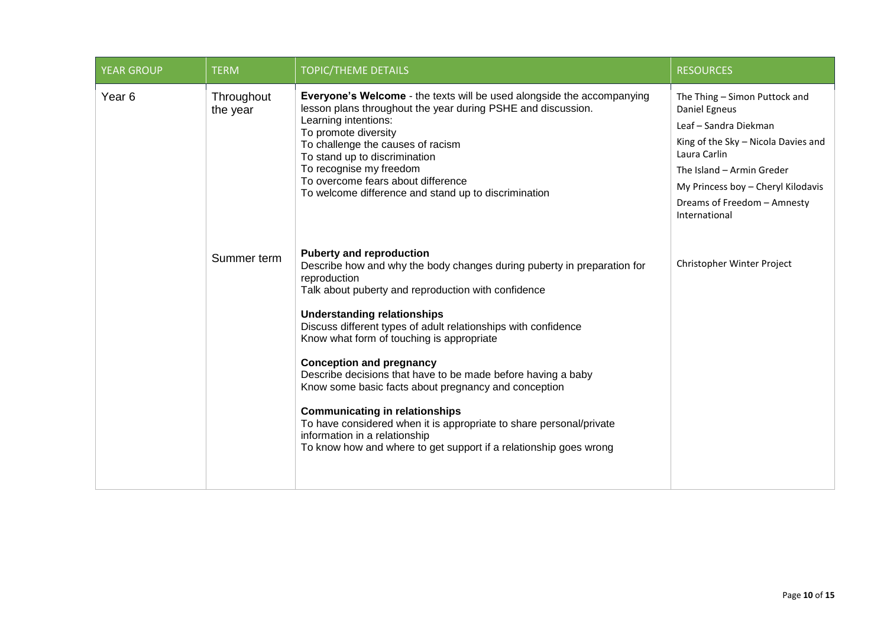| <b>YEAR GROUP</b> | <b>TERM</b>            | <b>TOPIC/THEME DETAILS</b>                                                                                                                                                                                                                                                                                                                                                                                                                                                                                                                                                                                                                                                                                              | <b>RESOURCES</b>                                                                                                                                                                                                                                  |
|-------------------|------------------------|-------------------------------------------------------------------------------------------------------------------------------------------------------------------------------------------------------------------------------------------------------------------------------------------------------------------------------------------------------------------------------------------------------------------------------------------------------------------------------------------------------------------------------------------------------------------------------------------------------------------------------------------------------------------------------------------------------------------------|---------------------------------------------------------------------------------------------------------------------------------------------------------------------------------------------------------------------------------------------------|
| Year <sub>6</sub> | Throughout<br>the year | Everyone's Welcome - the texts will be used alongside the accompanying<br>lesson plans throughout the year during PSHE and discussion.<br>Learning intentions:<br>To promote diversity<br>To challenge the causes of racism<br>To stand up to discrimination<br>To recognise my freedom<br>To overcome fears about difference<br>To welcome difference and stand up to discrimination                                                                                                                                                                                                                                                                                                                                   | The Thing - Simon Puttock and<br>Daniel Egneus<br>Leaf - Sandra Diekman<br>King of the Sky - Nicola Davies and<br>Laura Carlin<br>The Island - Armin Greder<br>My Princess boy - Cheryl Kilodavis<br>Dreams of Freedom - Amnesty<br>International |
|                   | Summer term            | <b>Puberty and reproduction</b><br>Describe how and why the body changes during puberty in preparation for<br>reproduction<br>Talk about puberty and reproduction with confidence<br><b>Understanding relationships</b><br>Discuss different types of adult relationships with confidence<br>Know what form of touching is appropriate<br><b>Conception and pregnancy</b><br>Describe decisions that have to be made before having a baby<br>Know some basic facts about pregnancy and conception<br><b>Communicating in relationships</b><br>To have considered when it is appropriate to share personal/private<br>information in a relationship<br>To know how and where to get support if a relationship goes wrong | Christopher Winter Project                                                                                                                                                                                                                        |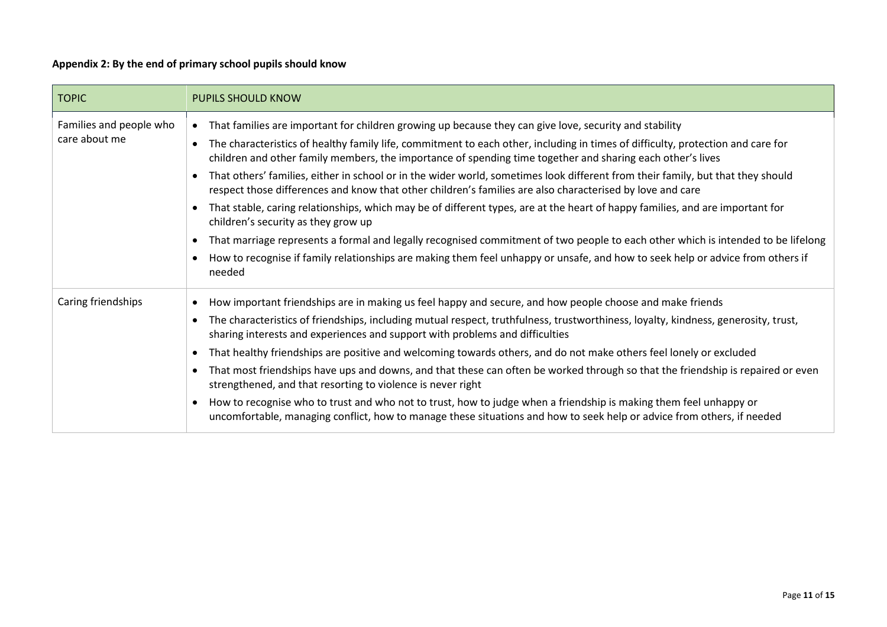# **Appendix 2: By the end of primary school pupils should know**

<span id="page-11-0"></span>

| <b>TOPIC</b>                             | <b>PUPILS SHOULD KNOW</b>                                                                                                                                                                                                                                                                                                                                                                                                                                                                                                                                                                                                                                                                                                                                                                                                                                                                                                                                                                                                                                       |
|------------------------------------------|-----------------------------------------------------------------------------------------------------------------------------------------------------------------------------------------------------------------------------------------------------------------------------------------------------------------------------------------------------------------------------------------------------------------------------------------------------------------------------------------------------------------------------------------------------------------------------------------------------------------------------------------------------------------------------------------------------------------------------------------------------------------------------------------------------------------------------------------------------------------------------------------------------------------------------------------------------------------------------------------------------------------------------------------------------------------|
| Families and people who<br>care about me | That families are important for children growing up because they can give love, security and stability<br>The characteristics of healthy family life, commitment to each other, including in times of difficulty, protection and care for<br>children and other family members, the importance of spending time together and sharing each other's lives<br>That others' families, either in school or in the wider world, sometimes look different from their family, but that they should<br>respect those differences and know that other children's families are also characterised by love and care<br>That stable, caring relationships, which may be of different types, are at the heart of happy families, and are important for<br>children's security as they grow up<br>That marriage represents a formal and legally recognised commitment of two people to each other which is intended to be lifelong<br>How to recognise if family relationships are making them feel unhappy or unsafe, and how to seek help or advice from others if<br>needed |
| Caring friendships                       | How important friendships are in making us feel happy and secure, and how people choose and make friends<br>The characteristics of friendships, including mutual respect, truthfulness, trustworthiness, loyalty, kindness, generosity, trust,<br>sharing interests and experiences and support with problems and difficulties<br>That healthy friendships are positive and welcoming towards others, and do not make others feel lonely or excluded<br>That most friendships have ups and downs, and that these can often be worked through so that the friendship is repaired or even<br>strengthened, and that resorting to violence is never right<br>How to recognise who to trust and who not to trust, how to judge when a friendship is making them feel unhappy or<br>uncomfortable, managing conflict, how to manage these situations and how to seek help or advice from others, if needed                                                                                                                                                           |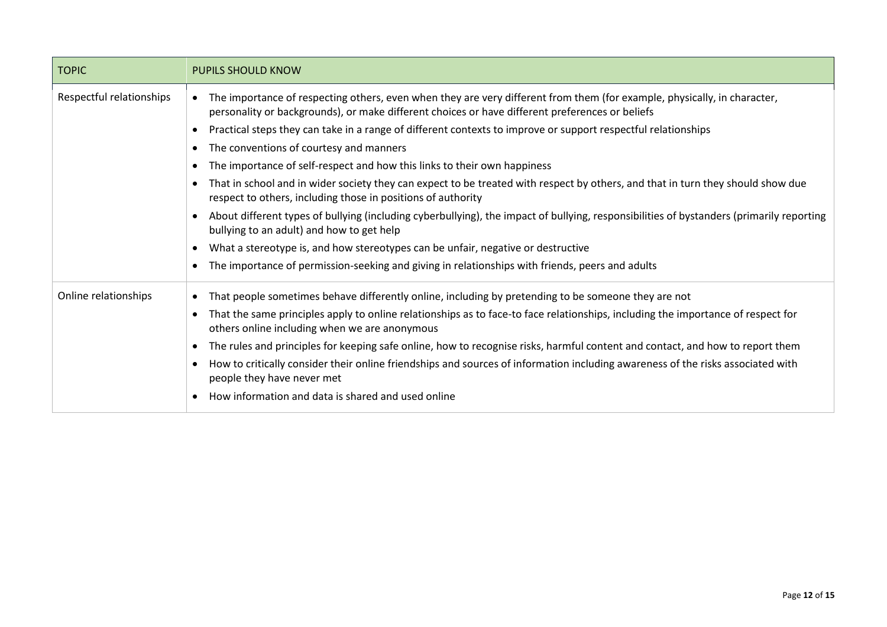| <b>TOPIC</b>             | <b>PUPILS SHOULD KNOW</b>                                                                                                                                                                                                   |  |  |
|--------------------------|-----------------------------------------------------------------------------------------------------------------------------------------------------------------------------------------------------------------------------|--|--|
| Respectful relationships | The importance of respecting others, even when they are very different from them (for example, physically, in character,<br>personality or backgrounds), or make different choices or have different preferences or beliefs |  |  |
|                          | Practical steps they can take in a range of different contexts to improve or support respectful relationships                                                                                                               |  |  |
|                          | The conventions of courtesy and manners                                                                                                                                                                                     |  |  |
|                          | The importance of self-respect and how this links to their own happiness                                                                                                                                                    |  |  |
|                          | That in school and in wider society they can expect to be treated with respect by others, and that in turn they should show due<br>respect to others, including those in positions of authority                             |  |  |
|                          | About different types of bullying (including cyberbullying), the impact of bullying, responsibilities of bystanders (primarily reporting<br>bullying to an adult) and how to get help                                       |  |  |
|                          | What a stereotype is, and how stereotypes can be unfair, negative or destructive                                                                                                                                            |  |  |
|                          | The importance of permission-seeking and giving in relationships with friends, peers and adults                                                                                                                             |  |  |
| Online relationships     | That people sometimes behave differently online, including by pretending to be someone they are not                                                                                                                         |  |  |
|                          | That the same principles apply to online relationships as to face-to face relationships, including the importance of respect for<br>others online including when we are anonymous                                           |  |  |
|                          | The rules and principles for keeping safe online, how to recognise risks, harmful content and contact, and how to report them                                                                                               |  |  |
|                          | How to critically consider their online friendships and sources of information including awareness of the risks associated with<br>people they have never met                                                               |  |  |
|                          | How information and data is shared and used online                                                                                                                                                                          |  |  |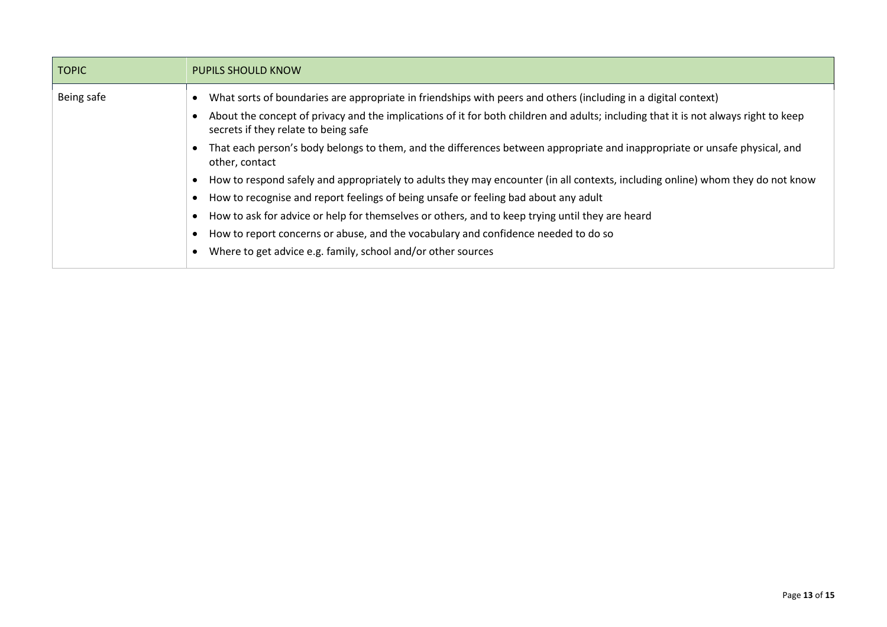| <b>TOPIC</b> | <b>PUPILS SHOULD KNOW</b>                                                                                                                                                   |
|--------------|-----------------------------------------------------------------------------------------------------------------------------------------------------------------------------|
| Being safe   | What sorts of boundaries are appropriate in friendships with peers and others (including in a digital context)                                                              |
|              | About the concept of privacy and the implications of it for both children and adults; including that it is not always right to keep<br>secrets if they relate to being safe |
|              | That each person's body belongs to them, and the differences between appropriate and inappropriate or unsafe physical, and<br>other, contact                                |
|              | How to respond safely and appropriately to adults they may encounter (in all contexts, including online) whom they do not know                                              |
|              | How to recognise and report feelings of being unsafe or feeling bad about any adult                                                                                         |
|              | How to ask for advice or help for themselves or others, and to keep trying until they are heard                                                                             |
|              | How to report concerns or abuse, and the vocabulary and confidence needed to do so                                                                                          |
|              | Where to get advice e.g. family, school and/or other sources                                                                                                                |